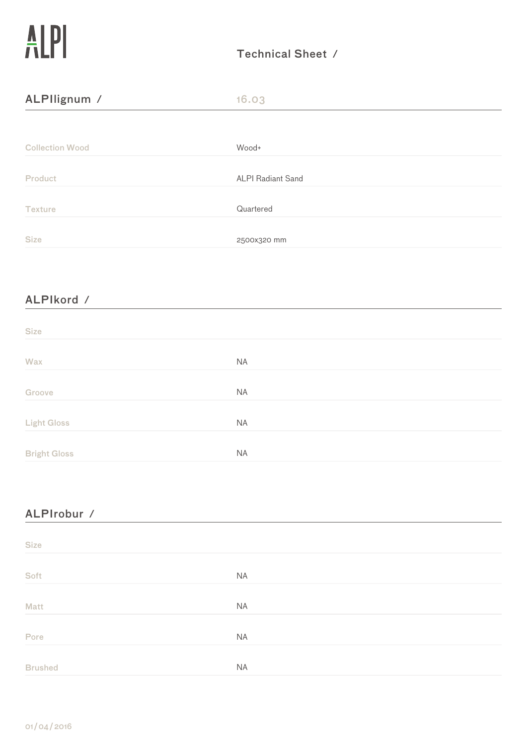| ALPIIignum /           | 16.03                    |  |
|------------------------|--------------------------|--|
|                        |                          |  |
| <b>Collection Wood</b> | Wood+                    |  |
| <b>Product</b>         | <b>ALPI Radiant Sand</b> |  |
| <b>Texture</b>         | Quartered                |  |
| <b>Size</b>            | 2500x320 mm              |  |

# ALPIkord ⁄

| <b>Size</b>         |           |  |
|---------------------|-----------|--|
| Wax                 | <b>NA</b> |  |
| Groove              | <b>NA</b> |  |
| <b>Light Gloss</b>  | <b>NA</b> |  |
| <b>Bright Gloss</b> | <b>NA</b> |  |

<u> 1980 - Johann Barbara, martxa a</u>

# ALPIrobur / **Calculation Contract Contract Contract Contract Contract Contract Contract Contract Contract Contract Contract Contract Contract Contract Contract Contract Contract Contract Contract Contract Contract Contra**

| <b>Size</b>    |           |  |
|----------------|-----------|--|
| Soft           | <b>NA</b> |  |
| Matt           | NA        |  |
| Pore           | NA        |  |
| <b>Brushed</b> | <b>NA</b> |  |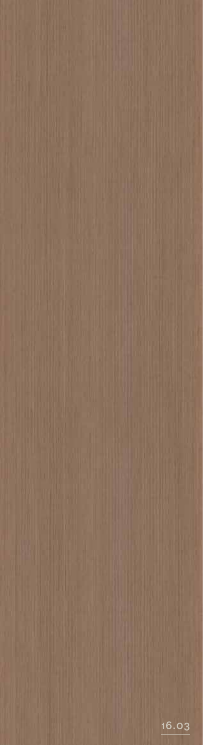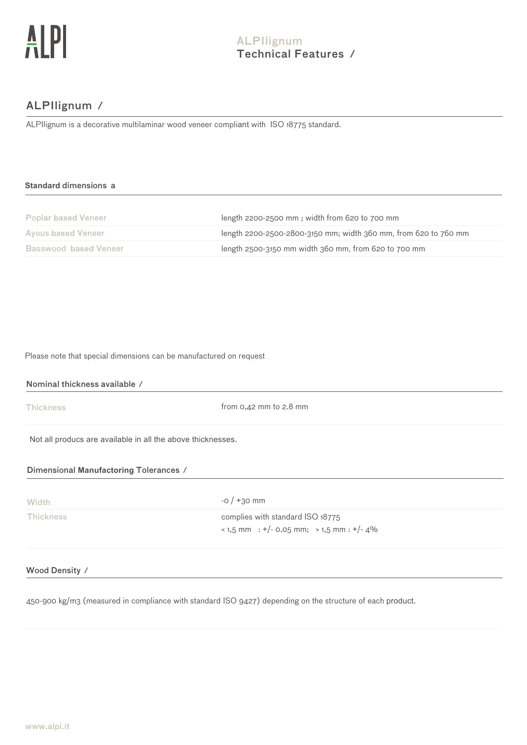# ALPIlignum ⁄

ALPIlignum is a decorative multilaminar wood veneer compliant with ISO 18775 standard.

### **Standard** dimensions a

| <b>Poplar based Veneer</b>   | length 2200-2500 mm; width from 620 to 700 mm                   |
|------------------------------|-----------------------------------------------------------------|
| <b>Ayous based Veneer</b>    | length 2200-2500-2800-3150 mm; width 360 mm, from 620 to 760 mm |
| <b>Basswood based Veneer</b> | length 2500-3150 mm width 360 mm, from 620 to 700 mm            |

Please note that special dimensions can be manufactured on request

Nominal thickness available ⁄

**Thickness** 

from 0,42 mm to 2.8 mm

Not all producs are available in all the above thicknesses.

# Dimensional **Manufactoring** Tolerances ⁄

| Width            | $-0/+30$ mm                                                                                 |
|------------------|---------------------------------------------------------------------------------------------|
| <b>Thickness</b> | complies with standard ISO 18775<br>$\frac{1}{2}$ + 1,5 mm : +/- 0.05 mm; > 1,5 mm : +/- 4% |

### Wood Density ⁄

450-900 kg/m3 (measured in compliance with standard ISO 9427) depending on the structure of each product.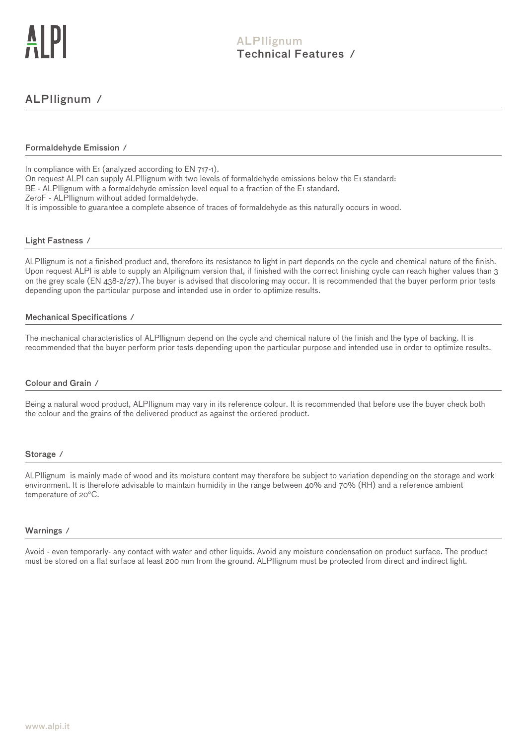# ALPIlignum ⁄

### Formaldehyde Emission ⁄

In compliance with E<sub>1</sub> (analyzed according to EN 717-1).

On request ALPI can supply ALPIlignum with two levels of formaldehyde emissions below the E1 standard: BE - ALPIlignum with a formaldehyde emission level equal to a fraction of the E1 standard.

ZeroF - ALPIlignum without added formaldehyde.

It is impossible to guarantee a complete absence of traces of formaldehyde as this naturally occurs in wood.

### Light Fastness ⁄

ALPIlignum is not a finished product and, therefore its resistance to light in part depends on the cycle and chemical nature of the finish. Upon request ALPI is able to supply an Alpilignum version that, if finished with the correct finishing cycle can reach higher values than 3 on the grey scale (EN 438-2/27).The buyer is advised that discoloring may occur. It is recommended that the buyer perform prior tests depending upon the particular purpose and intended use in order to optimize results.

### Mechanical Specifications ⁄

The mechanical characteristics of ALPIlignum depend on the cycle and chemical nature of the finish and the type of backing. It is recommended that the buyer perform prior tests depending upon the particular purpose and intended use in order to optimize results.

### Colour and Grain ⁄

Being a natural wood product, ALPIlignum may vary in its reference colour. It is recommended that before use the buyer check both the colour and the grains of the delivered product as against the ordered product.

#### Storage ⁄

ALPIlignum is mainly made of wood and its moisture content may therefore be subject to variation depending on the storage and work environment. It is therefore advisable to maintain humidity in the range between 40% and 70% (RH) and a reference ambient temperature of 20°C.

#### Warnings ⁄

Avoid - even temporarly- any contact with water and other liquids. Avoid any moisture condensation on product surface. The product must be stored on a flat surface at least 200 mm from the ground. ALPIlignum must be protected from direct and indirect light.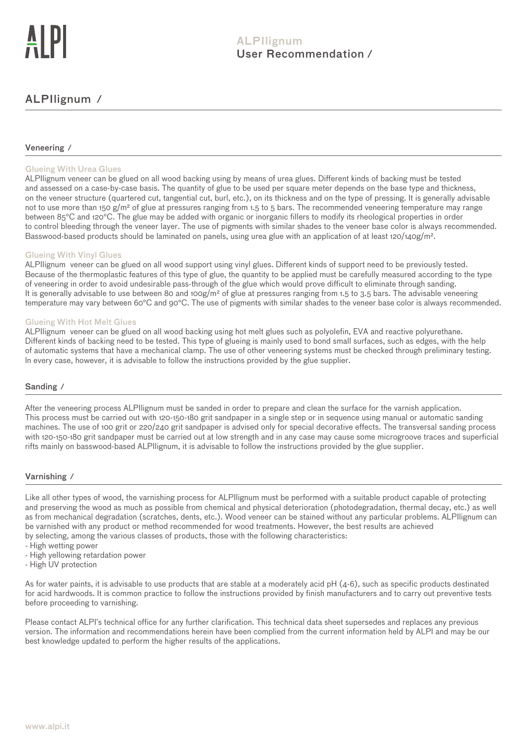# ALPIlignum ⁄

### Veneering ⁄

### Glueing With Urea Glues

ALPIlignum veneer can be glued on all wood backing using by means of urea glues. Different kinds of backing must be tested and assessed on a case-by-case basis. The quantity of glue to be used per square meter depends on the base type and thickness, on the veneer structure (quartered cut, tangential cut, burl, etc.), on its thickness and on the type of pressing. It is generally advisable not to use more than 150 g/m<sup>2</sup> of glue at pressures ranging from 1.5 to 5 bars. The recommended veneering temperature may range between 85°C and 120°C. The glue may be added with organic or inorganic fillers to modify its rheological properties in order to control bleeding through the veneer layer. The use of pigments with similar shades to the veneer base color is always recommended. Basswood-based products should be laminated on panels, using urea glue with an application of at least 120/140g/m<sup>2</sup>.

### Glueing With Vinyl Glues

ALPIlignum veneer can be glued on all wood support using vinyl glues. Different kinds of support need to be previously tested. Because of the thermoplastic features of this type of glue, the quantity to be applied must be carefully measured according to the type of veneering in order to avoid undesirable pass-through of the glue which would prove difficult to eliminate through sanding. It is generally advisable to use between 80 and 100g/m<sup>2</sup> of glue at pressures ranging from 1.5 to 3.5 bars. The advisable veneering temperature may vary between 60°C and 90°C. The use of pigments with similar shades to the veneer base color is always recommended.

### Glueing With Hot Melt Glues

ALPIlignum veneer can be glued on all wood backing using hot melt glues such as polyolefin, EVA and reactive polyurethane. Different kinds of backing need to be tested. This type of glueing is mainly used to bond small surfaces, such as edges, with the help of automatic systems that have a mechanical clamp. The use of other veneering systems must be checked through preliminary testing. ln every case, however, it is advisable to follow the instructions provided by the glue supplier.

### Sanding ⁄

After the veneering process ALPIlignum must be sanded in order to prepare and clean the surface for the varnish application. This process must be carried out with 120-150-180 grit sandpaper in a single step or in sequence using manual or automatic sanding machines. The use of 100 grit or 220/240 grit sandpaper is advised only for special decorative effects. The transversal sanding process with 120-150-180 grit sandpaper must be carried out at low strength and in any case may cause some microgroove traces and superficial rifts mainly on basswood-based ALPIlignum, it is advisable to follow the instructions provided by the glue supplier.

#### Varnishing ⁄

Like all other types of wood, the varnishing process for ALPIlignum must be performed with a suitable product capable of protecting and preserving the wood as much as possible from chemical and physical deterioration (photodegradation, thermal decay, etc.) as well as from mechanical degradation (scratches, dents, etc.). Wood veneer can be stained without any particular problems. ALPIlignum can be varnished with any product or method recommended for wood treatments. However, the best results are achieved by selecting, among the various classes of products, those with the following characteristics:

- High wetting power
- High yellowing retardation power
- High UV protection

As for water paints, it is advisable to use products that are stable at a moderately acid pH (4-6), such as specific products destinated for acid hardwoods. It is common practice to follow the instructions provided by finish manufacturers and to carry out preventive tests before proceeding to varnishing.

Please contact ALPI's technical office for any further clarification. This technical data sheet supersedes and replaces any previous version. The information and recommendations herein have been complied from the current information held by ALPI and may be our best knowledge updated to perform the higher results of the applications.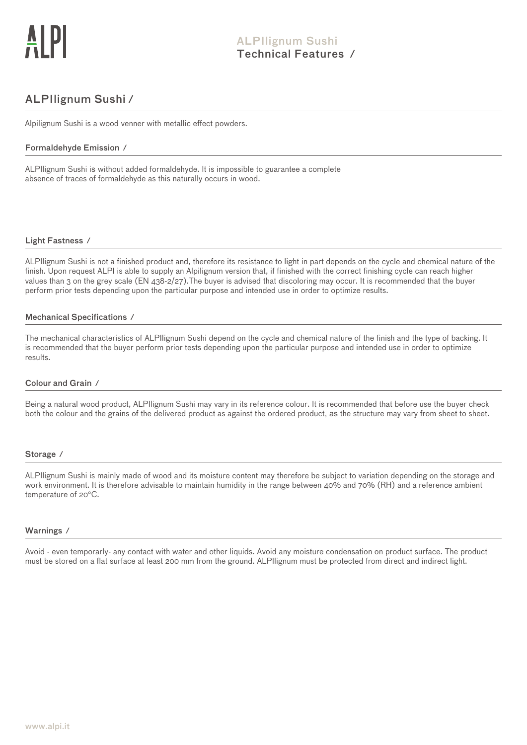# ALPIlignum Sushi ⁄

Alpilignum Sushi is a wood venner with metallic effect powders.

### Formaldehyde Emission ⁄

ALPIlignum Sushi is without added formaldehyde. It is impossible to guarantee a complete absence of traces of formaldehyde as this naturally occurs in wood.

### Light Fastness ⁄

ALPIlignum Sushi is not a finished product and, therefore its resistance to light in part depends on the cycle and chemical nature of the finish. Upon request ALPI is able to supply an Alpilignum version that, if finished with the correct finishing cycle can reach higher values than 3 on the grey scale (EN 438-2/27).The buyer is advised that discoloring may occur. It is recommended that the buyer perform prior tests depending upon the particular purpose and intended use in order to optimize results.

### Mechanical Specifications ⁄

The mechanical characteristics of ALPIlignum Sushi depend on the cycle and chemical nature of the finish and the type of backing. It is recommended that the buyer perform prior tests depending upon the particular purpose and intended use in order to optimize results.

### Colour and Grain ⁄

Being a natural wood product, ALPIlignum Sushi may vary in its reference colour. It is recommended that before use the buyer check both the colour and the grains of the delivered product as against the ordered product, as the structure may vary from sheet to sheet.

#### Storage ⁄

ALPIlignum Sushi is mainly made of wood and its moisture content may therefore be subject to variation depending on the storage and work environment. It is therefore advisable to maintain humidity in the range between 40% and 70% (RH) and a reference ambient temperature of 20°C.

#### Warnings ⁄

Avoid - even temporarly- any contact with water and other liquids. Avoid any moisture condensation on product surface. The product must be stored on a flat surface at least 200 mm from the ground. ALPIlignum must be protected from direct and indirect light.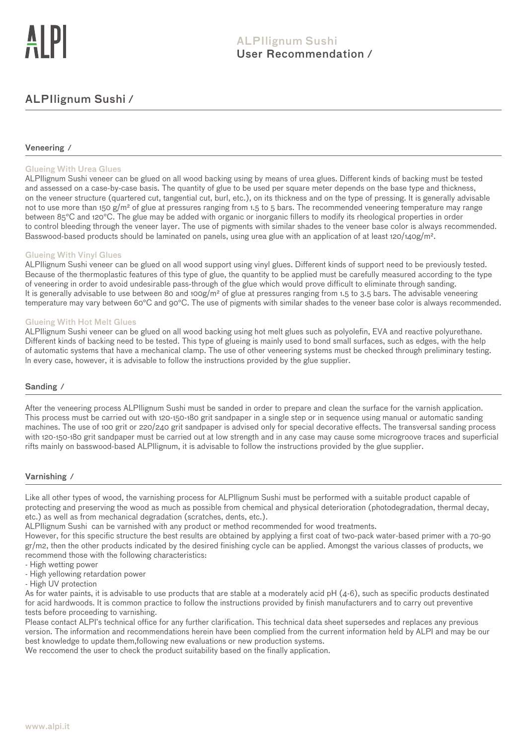# ALPIlignum Sushi ⁄

### Veneering ⁄

### Glueing With Urea Glues

ALPIlignum Sushi veneer can be glued on all wood backing using by means of urea glues. Different kinds of backing must be tested and assessed on a case-by-case basis. The quantity of glue to be used per square meter depends on the base type and thickness, on the veneer structure (quartered cut, tangential cut, burl, etc.), on its thickness and on the type of pressing. It is generally advisable not to use more than 150 g/m<sup>2</sup> of glue at pressures ranging from 1.5 to 5 bars. The recommended veneering temperature may range between 85°C and 120°C. The glue may be added with organic or inorganic fillers to modify its rheological properties in order to control bleeding through the veneer layer. The use of pigments with similar shades to the veneer base color is always recommended. Basswood-based products should be laminated on panels, using urea glue with an application of at least 120/140g/m².

### Glueing With Vinyl Glues

ALPIlignum Sushi veneer can be glued on all wood support using vinyl glues. Different kinds of support need to be previously tested. Because of the thermoplastic features of this type of glue, the quantity to be applied must be carefully measured according to the type of veneering in order to avoid undesirable pass-through of the glue which would prove difficult to eliminate through sanding. It is generally advisable to use between 80 and 100g/m<sup>2</sup> of glue at pressures ranging from 1.5 to 3.5 bars. The advisable veneering temperature may vary between 60°C and 90°C. The use of pigments with similar shades to the veneer base color is always recommended.

### Glueing With Hot Melt Glues

ALPIlignum Sushi veneer can be glued on all wood backing using hot melt glues such as polyolefin, EVA and reactive polyurethane. Different kinds of backing need to be tested. This type of glueing is mainly used to bond small surfaces, such as edges, with the help of automatic systems that have a mechanical clamp. The use of other veneering systems must be checked through preliminary testing. ln every case, however, it is advisable to follow the instructions provided by the glue supplier.

### Sanding ⁄

After the veneering process ALPIlignum Sushi must be sanded in order to prepare and clean the surface for the varnish application. This process must be carried out with 120-150-180 grit sandpaper in a single step or in sequence using manual or automatic sanding machines. The use of 100 grit or 220/240 grit sandpaper is advised only for special decorative effects. The transversal sanding process with 120-150-180 grit sandpaper must be carried out at low strength and in any case may cause some microgroove traces and superficial rifts mainly on basswood-based ALPIlignum, it is advisable to follow the instructions provided by the glue supplier.

### Varnishing ⁄

Like all other types of wood, the varnishing process for ALPIlignum Sushi must be performed with a suitable product capable of etc.) as well as from mechanical degradation (scratches, dents, etc.). protecting and preserving the wood as much as possible from chemical and physical deterioration (photodegradation, thermal decay,

ALPIlignum Sushi can be varnished with any product or method recommended for wood treatments.

recommend those with the following characteristics: However, for this specific structure the best results are obtained by applying a first coat of two-pack water-based primer with a 70-90 gr/m2, then the other products indicated by the desired finishing cycle can be applied. Amongst the various classes of products, we

- High wetting power
- High yellowing retardation power
- High UV protection

tests before proceeding to varnishing. for acid hardwoods. It is common practice to follow the instructions provided by finish manufacturers and to carry out preventive As for water paints, it is advisable to use products that are stable at a moderately acid pH (4-6), such as specific products destinated

best knowledge to update them,following new evaluations or new production systems. version. The information and recommendations herein have been complied from the current information held by ALPI and may be our Please contact ALPI's technical office for any further clarification. This technical data sheet supersedes and replaces any previous

We reccomend the user to check the product suitability based on the finally application.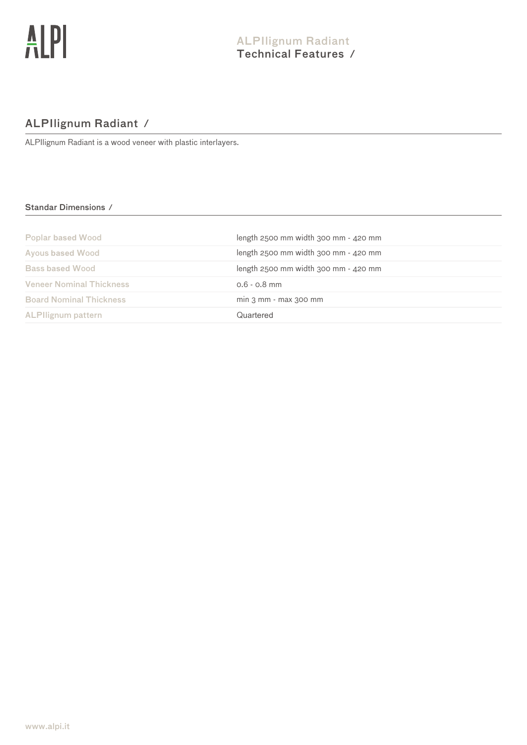# ALPIlignum Radiant ⁄

ALPIlignum Radiant is a wood veneer with plastic interlayers.

# Standar Dimensions ⁄

| <b>Poplar based Wood</b>        | length $2500$ mm width $300$ mm $-$ 420 mm |
|---------------------------------|--------------------------------------------|
| <b>Ayous based Wood</b>         | $length$ 2500 mm width 300 mm $-$ 420 mm   |
| <b>Bass based Wood</b>          | length $2500$ mm width $300$ mm $-$ 420 mm |
| <b>Veneer Nominal Thickness</b> | $0.6 - 0.8$ mm                             |
| <b>Board Nominal Thickness</b>  | $min 3 mm - max 300 mm$                    |
| <b>ALPIlignum pattern</b>       | Quartered                                  |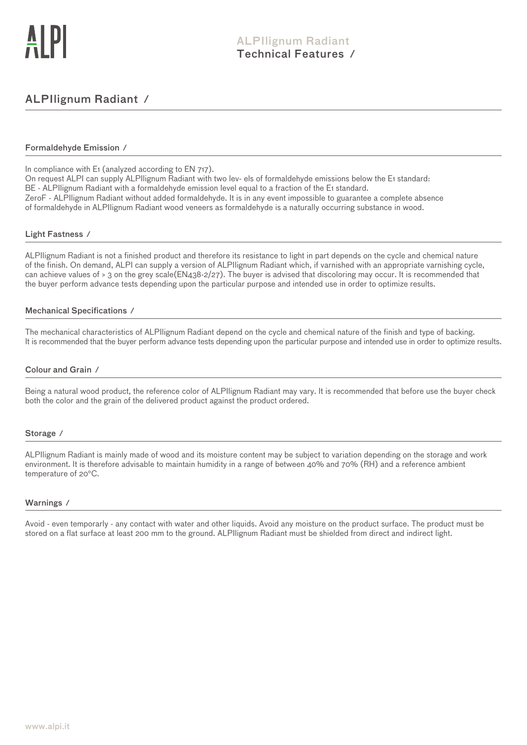# ALPIlignum Radiant ⁄

### Formaldehyde Emission ⁄

In compliance with E<sub>1</sub> (analyzed according to EN 717).

On request ALPI can supply ALPIlignum Radiant with two lev- els of formaldehyde emissions below the E1 standard: BE - ALPIlignum Radiant with a formaldehyde emission level equal to a fraction of the E1 standard. ZeroF - ALPIlignum Radiant without added formaldehyde. It is in any event impossible to guarantee a complete absence of formaldehyde in ALPIlignum Radiant wood veneers as formaldehyde is a naturally occurring substance in wood.

### Light Fastness ⁄

ALPIlignum Radiant is not a finished product and therefore its resistance to light in part depends on the cycle and chemical nature of the finish. On demand, ALPI can supply a version of ALPIlignum Radiant which, if varnished with an appropriate varnishing cycle, can achieve values of > 3 on the grey scale(EN438-2/27). The buyer is advised that discoloring may occur. It is recommended that the buyer perform advance tests depending upon the particular purpose and intended use in order to optimize results.

### Mechanical Specifications ⁄

The mechanical characteristics of ALPIlignum Radiant depend on the cycle and chemical nature of the finish and type of backing. It is recommended that the buyer perform advance tests depending upon the particular purpose and intended use in order to optimize results.

### Colour and Grain ⁄

Being a natural wood product, the reference color of ALPIlignum Radiant may vary. It is recommended that before use the buyer check both the color and the grain of the delivered product against the product ordered.

### Storage ⁄

ALPIlignum Radiant is mainly made of wood and its moisture content may be subject to variation depending on the storage and work environment. It is therefore advisable to maintain humidity in a range of between 40% and 70% (RH) and a reference ambient temperature of 20°C.

### Warnings ⁄

Avoid - even temporarly - any contact with water and other liquids. Avoid any moisture on the product surface. The product must be stored on a flat surface at least 200 mm to the ground. ALPIlignum Radiant must be shielded from direct and indirect light.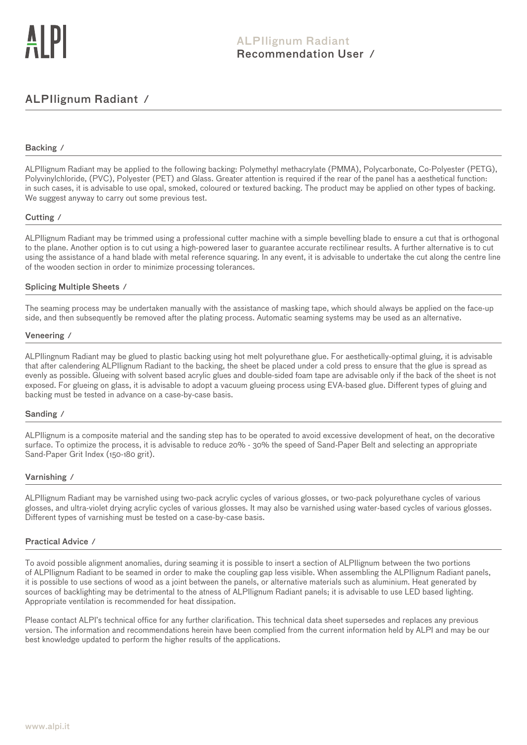# ALPIlignum Radiant ⁄

### Backing ⁄

ALPIlignum Radiant may be applied to the following backing: Polymethyl methacrylate (PMMA), Polycarbonate, Co-Polyester (PETG), Polyvinylchloride, (PVC), Polyester (PET) and Glass. Greater attention is required if the rear of the panel has a aesthetical function: in such cases, it is advisable to use opal, smoked, coloured or textured backing. The product may be applied on other types of backing. We suggest anyway to carry out some previous test.

### Cutting ⁄

ALPIlignum Radiant may be trimmed using a professional cutter machine with a simple bevelling blade to ensure a cut that is orthogonal to the plane. Another option is to cut using a high-powered laser to guarantee accurate rectilinear results. A further alternative is to cut using the assistance of a hand blade with metal reference squaring. In any event, it is advisable to undertake the cut along the centre line of the wooden section in order to minimize processing tolerances.

### Splicing Multiple Sheets ⁄

The seaming process may be undertaken manually with the assistance of masking tape, which should always be applied on the face-up side, and then subsequently be removed after the plating process. Automatic seaming systems may be used as an alternative.

#### Veneering ⁄

ALPIlingnum Radiant may be glued to plastic backing using hot melt polyurethane glue. For aesthetically-optimal gluing, it is advisable that after calendering ALPIlignum Radiant to the backing, the sheet be placed under a cold press to ensure that the glue is spread as evenly as possible. Glueing with solvent based acrylic glues and double-sided foam tape are advisable only if the back of the sheet is not exposed. For glueing on glass, it is advisable to adopt a vacuum glueing process using EVA-based glue. Different types of gluing and backing must be tested in advance on a case-by-case basis.

#### Sanding ⁄

ALPIlignum is a composite material and the sanding step has to be operated to avoid excessive development of heat, on the decorative surface. To optimize the process, it is advisable to reduce 20% - 30% the speed of Sand-Paper Belt and selecting an appropriate Sand-Paper Grit Index (150-180 grit).

#### Varnishing ⁄

ALPIlignum Radiant may be varnished using two-pack acrylic cycles of various glosses, or two-pack polyurethane cycles of various glosses, and ultra-violet drying acrylic cycles of various glosses. It may also be varnished using water-based cycles of various glosses. Different types of varnishing must be tested on a case-by-case basis.

### Practical Advice ⁄

To avoid possible alignment anomalies, during seaming it is possible to insert a section of ALPIlignum between the two portions of ALPIlignum Radiant to be seamed in order to make the coupling gap less visible. When assembling the ALPIlignum Radiant panels, it is possible to use sections of wood as a joint between the panels, or alternative materials such as aluminium. Heat generated by sources of backlighting may be detrimental to the atness of ALPIlignum Radiant panels; it is advisable to use LED based lighting. Appropriate ventilation is recommended for heat dissipation.

Please contact ALPI's technical office for any further clarification. This technical data sheet supersedes and replaces any previous version. The information and recommendations herein have been complied from the current information held by ALPI and may be our best knowledge updated to perform the higher results of the applications.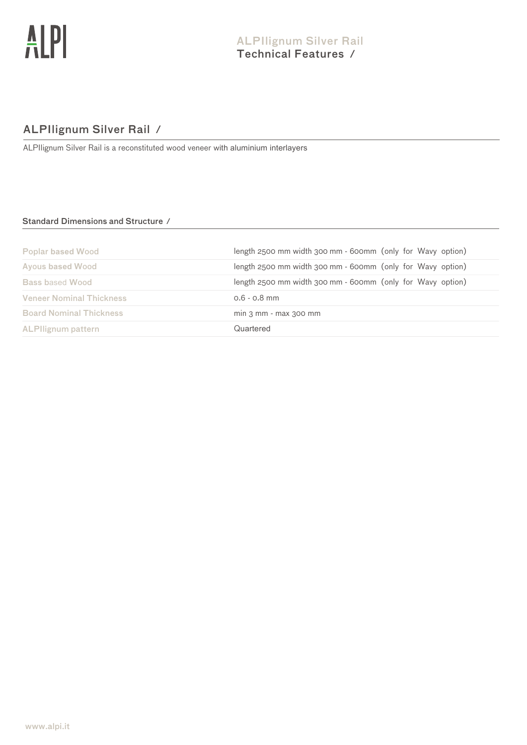# ALPIlignum Silver Rail ⁄

ALPIlignum Silver Rail is a reconstituted wood veneer with aluminium interlayers

# Standard Dimensions and Structure ⁄

| <b>Poplar based Wood</b>        | length 2500 mm width 300 mm - 600mm (only for Wavy option) |
|---------------------------------|------------------------------------------------------------|
| <b>Ayous based Wood</b>         | length 2500 mm width 300 mm - 600mm (only for Wavy option) |
| <b>Bass based Wood</b>          | length 2500 mm width 300 mm - 600mm (only for Wavy option) |
| <b>Veneer Nominal Thickness</b> | $0.6 - 0.8$ mm                                             |
| <b>Board Nominal Thickness</b>  | $min 3 mm - max 300 mm$                                    |
| <b>ALPIlignum pattern</b>       | Quartered                                                  |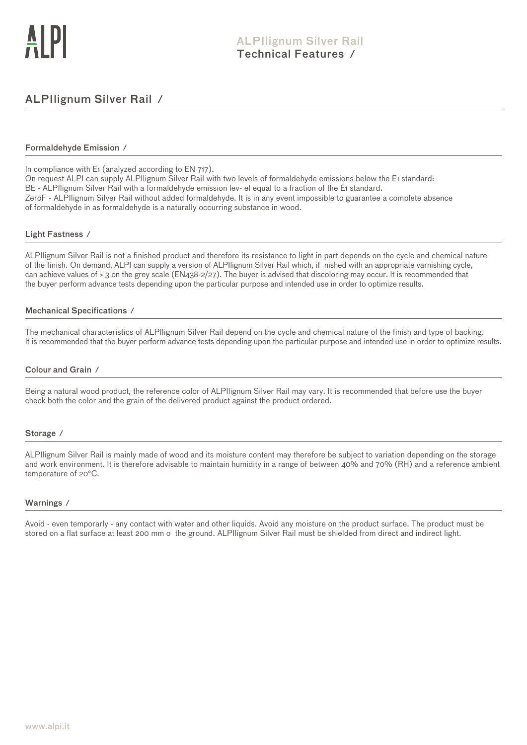# ALPIlignum Silver Rail ⁄

### Formaldehyde Emission ⁄

In compliance with E<sub>1</sub> (analyzed according to EN 717).

On request ALPI can supply ALPIlignum Silver Rail with two levels of formaldehyde emissions below the E1 standard: BE - ALPIlignum Silver Rail with a formaldehyde emission lev- el equal to a fraction of the E1 standard. ZeroF - ALPIlignum Silver Rail without added formaldehyde. It is in any event impossible to guarantee a complete absence of formaldehyde in as formaldehyde is a naturally occurring substance in wood.

### Light Fastness ⁄

ALPIlignum Silver Rail is not a finished product and therefore its resistance to light in part depends on the cycle and chemical nature of the finish. On demand, ALPI can supply a version of ALPIlignum Silver Rail which, if nished with an appropriate varnishing cycle, can achieve values of > 3 on the grey scale (EN438-2/27). The buyer is advised that discoloring may occur. It is recommended that the buyer perform advance tests depending upon the particular purpose and intended use in order to optimize results.

### Mechanical Specifications ⁄

The mechanical characteristics of ALPIlignum Silver Rail depend on the cycle and chemical nature of the finish and type of backing. It is recommended that the buyer perform advance tests depending upon the particular purpose and intended use in order to optimize results.

### Colour and Grain ⁄

Being a natural wood product, the reference color of ALPIlignum Silver Rail may vary. It is recommended that before use the buyer check both the color and the grain of the delivered product against the product ordered.

### Storage ⁄

ALPIlignum Silver Rail is mainly made of wood and its moisture content may therefore be subject to variation depending on the storage and work environment. It is therefore advisable to maintain humidity in a range of between 40% and 70% (RH) and a reference ambient temperature of 20°C.

### Warnings ⁄

Avoid - even temporarly - any contact with water and other liquids. Avoid any moisture on the product surface. The product must be stored on a flat surface at least 200 mm o the ground. ALPIlignum Silver Rail must be shielded from direct and indirect light.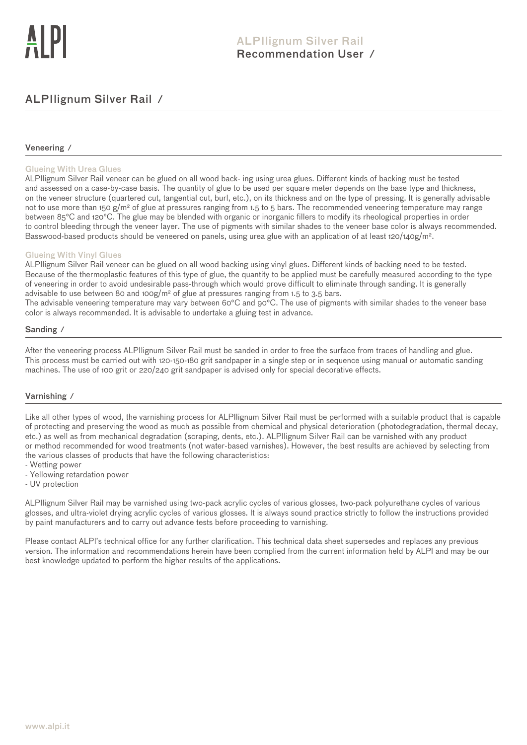# ALPIlignum Silver Rail ⁄

### Veneering ⁄

### Glueing With Urea Glues

ALPIlignum Silver Rail veneer can be glued on all wood back- ing using urea glues. Different kinds of backing must be tested and assessed on a case-by-case basis. The quantity of glue to be used per square meter depends on the base type and thickness, on the veneer structure (quartered cut, tangential cut, burl, etc.), on its thickness and on the type of pressing. It is generally advisable not to use more than 150 g/m<sup>2</sup> of glue at pressures ranging from 1.5 to 5 bars. The recommended veneering temperature may range between 85°C and 120°C. The glue may be blended with organic or inorganic fillers to modify its rheological properties in order to control bleeding through the veneer layer. The use of pigments with similar shades to the veneer base color is always recommended. Basswood-based products should be veneered on panels, using urea glue with an application of at least 120/140g/m<sup>2</sup>.

### Glueing With Vinyl Glues

ALPIlignum Silver Rail veneer can be glued on all wood backing using vinyl glues. Different kinds of backing need to be tested. Because of the thermoplastic features of this type of glue, the quantity to be applied must be carefully measured according to the type of veneering in order to avoid undesirable pass-through which would prove difficult to eliminate through sanding. It is generally advisable to use between 80 and 100g/m² of glue at pressures ranging from 1.5 to 3.5 bars.

The advisable veneering temperature may vary between 60°C and 90°C. The use of pigments with similar shades to the veneer base color is always recommended. It is advisable to undertake a gluing test in advance.

### Sanding ⁄

After the veneering process ALPIlignum Silver Rail must be sanded in order to free the surface from traces of handling and glue. This process must be carried out with 120-150-180 grit sandpaper in a single step or in sequence using manual or automatic sanding machines. The use of 100 grit or 220/240 grit sandpaper is advised only for special decorative effects.

### Varnishing ⁄

Like all other types of wood, the varnishing process for ALPIlignum Silver Rail must be performed with a suitable product that is capable of protecting and preserving the wood as much as possible from chemical and physical deterioration (photodegradation, thermal decay, etc.) as well as from mechanical degradation (scraping, dents, etc.). ALPIlignum Silver Rail can be varnished with any product or method recommended for wood treatments (not water-based varnishes). However, the best results are achieved by selecting from the various classes of products that have the following characteristics:

- Wetting power - Yellowing retardation power
- UV protection

ALPIlignum Silver Rail may be varnished using two-pack acrylic cycles of various glosses, two-pack polyurethane cycles of various glosses, and ultra-violet drying acrylic cycles of various glosses. It is always sound practice strictly to follow the instructions provided by paint manufacturers and to carry out advance tests before proceeding to varnishing.

Please contact ALPI's technical office for any further clarification. This technical data sheet supersedes and replaces any previous version. The information and recommendations herein have been complied from the current information held by ALPI and may be our best knowledge updated to perform the higher results of the applications.